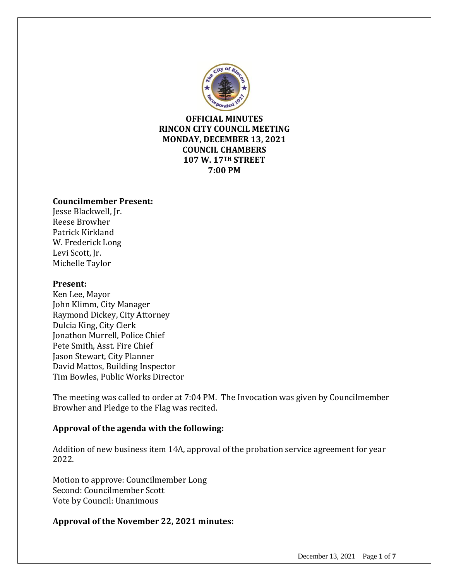

**OFFICIAL MINUTES RINCON CITY COUNCIL MEETING MONDAY, DECEMBER 13, 2021 COUNCIL CHAMBERS 107 W. 17TH STREET 7:00 PM**

#### **Councilmember Present:**

Jesse Blackwell, Jr. Reese Browher Patrick Kirkland W. Frederick Long Levi Scott, Jr. Michelle Taylor

#### **Present:**

Ken Lee, Mayor John Klimm, City Manager Raymond Dickey, City Attorney Dulcia King, City Clerk Jonathon Murrell, Police Chief Pete Smith, Asst. Fire Chief Jason Stewart, City Planner David Mattos, Building Inspector Tim Bowles, Public Works Director

The meeting was called to order at 7:04 PM. The Invocation was given by Councilmember Browher and Pledge to the Flag was recited.

## **Approval of the agenda with the following:**

Addition of new business item 14A, approval of the probation service agreement for year 2022.

Motion to approve: Councilmember Long Second: Councilmember Scott Vote by Council: Unanimous

## **Approval of the November 22, 2021 minutes:**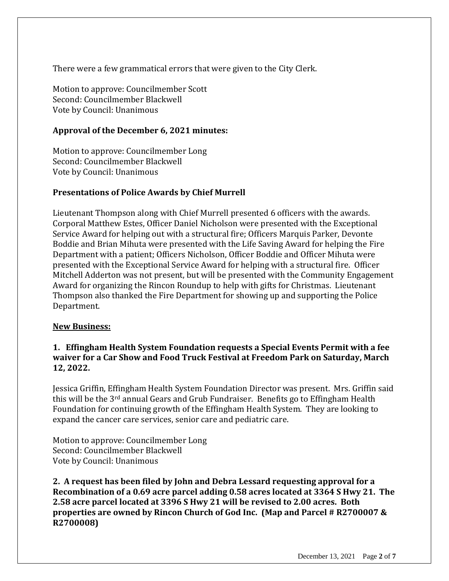There were a few grammatical errors that were given to the City Clerk.

Motion to approve: Councilmember Scott Second: Councilmember Blackwell Vote by Council: Unanimous

## **Approval of the December 6, 2021 minutes:**

Motion to approve: Councilmember Long Second: Councilmember Blackwell Vote by Council: Unanimous

## **Presentations of Police Awards by Chief Murrell**

Lieutenant Thompson along with Chief Murrell presented 6 officers with the awards. Corporal Matthew Estes, Officer Daniel Nicholson were presented with the Exceptional Service Award for helping out with a structural fire; Officers Marquis Parker, Devonte Boddie and Brian Mihuta were presented with the Life Saving Award for helping the Fire Department with a patient; Officers Nicholson, Officer Boddie and Officer Mihuta were presented with the Exceptional Service Award for helping with a structural fire. Officer Mitchell Adderton was not present, but will be presented with the Community Engagement Award for organizing the Rincon Roundup to help with gifts for Christmas. Lieutenant Thompson also thanked the Fire Department for showing up and supporting the Police Department.

## **New Business:**

## **1. Effingham Health System Foundation requests a Special Events Permit with a fee waiver for a Car Show and Food Truck Festival at Freedom Park on Saturday, March 12, 2022.**

Jessica Griffin, Effingham Health System Foundation Director was present. Mrs. Griffin said this will be the  $3^{rd}$  annual Gears and Grub Fundraiser. Benefits go to Effingham Health Foundation for continuing growth of the Effingham Health System. They are looking to expand the cancer care services, senior care and pediatric care.

Motion to approve: Councilmember Long Second: Councilmember Blackwell Vote by Council: Unanimous

**2. A request has been filed by John and Debra Lessard requesting approval for a Recombination of a 0.69 acre parcel adding 0.58 acres located at 3364 S Hwy 21. The 2.58 acre parcel located at 3396 S Hwy 21 will be revised to 2.00 acres. Both properties are owned by Rincon Church of God Inc. (Map and Parcel # R2700007 & R2700008)**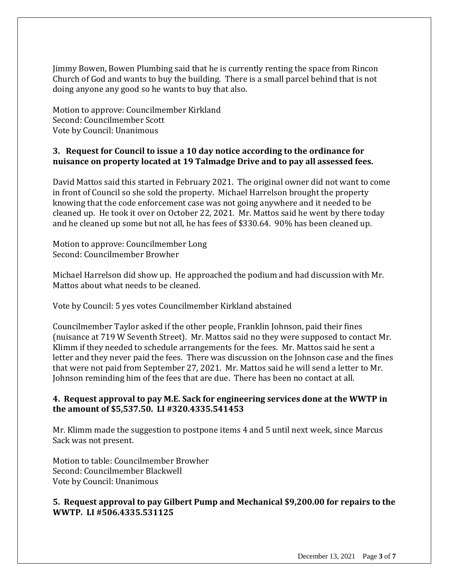Jimmy Bowen, Bowen Plumbing said that he is currently renting the space from Rincon Church of God and wants to buy the building. There is a small parcel behind that is not doing anyone any good so he wants to buy that also.

Motion to approve: Councilmember Kirkland Second: Councilmember Scott Vote by Council: Unanimous

## **3. Request for Council to issue a 10 day notice according to the ordinance for nuisance on property located at 19 Talmadge Drive and to pay all assessed fees.**

David Mattos said this started in February 2021. The original owner did not want to come in front of Council so she sold the property. Michael Harrelson brought the property knowing that the code enforcement case was not going anywhere and it needed to be cleaned up. He took it over on October 22, 2021. Mr. Mattos said he went by there today and he cleaned up some but not all, he has fees of \$330.64. 90% has been cleaned up.

Motion to approve: Councilmember Long Second: Councilmember Browher

Michael Harrelson did show up. He approached the podium and had discussion with Mr. Mattos about what needs to be cleaned.

Vote by Council: 5 yes votes Councilmember Kirkland abstained

Councilmember Taylor asked if the other people, Franklin Johnson, paid their fines (nuisance at 719 W Seventh Street). Mr. Mattos said no they were supposed to contact Mr. Klimm if they needed to schedule arrangements for the fees. Mr. Mattos said he sent a letter and they never paid the fees. There was discussion on the Johnson case and the fines that were not paid from September 27, 2021. Mr. Mattos said he will send a letter to Mr. Johnson reminding him of the fees that are due. There has been no contact at all.

#### **4. Request approval to pay M.E. Sack for engineering services done at the WWTP in the amount of \$5,537.50. LI #320.4335.541453**

Mr. Klimm made the suggestion to postpone items 4 and 5 until next week, since Marcus Sack was not present.

Motion to table: Councilmember Browher Second: Councilmember Blackwell Vote by Council: Unanimous

## **5. Request approval to pay Gilbert Pump and Mechanical \$9,200.00 for repairs to the WWTP. LI #506.4335.531125**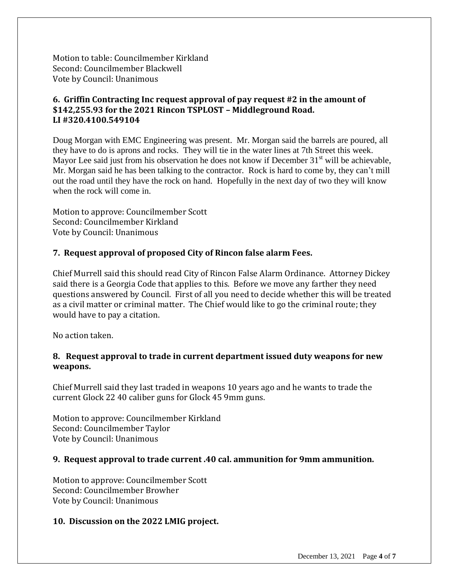Motion to table: Councilmember Kirkland Second: Councilmember Blackwell Vote by Council: Unanimous

# **6. Griffin Contracting Inc request approval of pay request #2 in the amount of \$142,255.93 for the 2021 Rincon TSPLOST – Middleground Road. LI #320.4100.549104**

Doug Morgan with EMC Engineering was present. Mr. Morgan said the barrels are poured, all they have to do is aprons and rocks. They will tie in the water lines at 7th Street this week. Mayor Lee said just from his observation he does not know if December  $31<sup>st</sup>$  will be achievable, Mr. Morgan said he has been talking to the contractor. Rock is hard to come by, they can't mill out the road until they have the rock on hand. Hopefully in the next day of two they will know when the rock will come in.

Motion to approve: Councilmember Scott Second: Councilmember Kirkland Vote by Council: Unanimous

## **7. Request approval of proposed City of Rincon false alarm Fees.**

Chief Murrell said this should read City of Rincon False Alarm Ordinance. Attorney Dickey said there is a Georgia Code that applies to this. Before we move any farther they need questions answered by Council. First of all you need to decide whether this will be treated as a civil matter or criminal matter. The Chief would like to go the criminal route; they would have to pay a citation.

No action taken.

## **8. Request approval to trade in current department issued duty weapons for new weapons.**

Chief Murrell said they last traded in weapons 10 years ago and he wants to trade the current Glock 22 40 caliber guns for Glock 45 9mm guns.

Motion to approve: Councilmember Kirkland Second: Councilmember Taylor Vote by Council: Unanimous

## **9. Request approval to trade current .40 cal. ammunition for 9mm ammunition.**

Motion to approve: Councilmember Scott Second: Councilmember Browher Vote by Council: Unanimous

## **10. Discussion on the 2022 LMIG project.**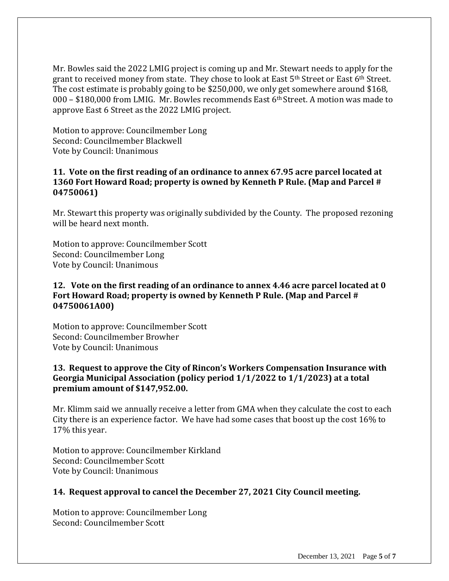Mr. Bowles said the 2022 LMIG project is coming up and Mr. Stewart needs to apply for the grant to received money from state. They chose to look at East 5<sup>th</sup> Street or East 6<sup>th</sup> Street. The cost estimate is probably going to be \$250,000, we only get somewhere around \$168, 000 – \$180,000 from LMIG. Mr. Bowles recommends East 6th Street. A motion was made to approve East 6 Street as the 2022 LMIG project.

Motion to approve: Councilmember Long Second: Councilmember Blackwell Vote by Council: Unanimous

## **11. Vote on the first reading of an ordinance to annex 67.95 acre parcel located at 1360 Fort Howard Road; property is owned by Kenneth P Rule. (Map and Parcel # 04750061)**

Mr. Stewart this property was originally subdivided by the County. The proposed rezoning will be heard next month.

Motion to approve: Councilmember Scott Second: Councilmember Long Vote by Council: Unanimous

## **12. Vote on the first reading of an ordinance to annex 4.46 acre parcel located at 0 Fort Howard Road; property is owned by Kenneth P Rule. (Map and Parcel # 04750061A00)**

Motion to approve: Councilmember Scott Second: Councilmember Browher Vote by Council: Unanimous

## **13. Request to approve the City of Rincon's Workers Compensation Insurance with Georgia Municipal Association (policy period 1/1/2022 to 1/1/2023) at a total premium amount of \$147,952.00.**

Mr. Klimm said we annually receive a letter from GMA when they calculate the cost to each City there is an experience factor. We have had some cases that boost up the cost 16% to 17% this year.

Motion to approve: Councilmember Kirkland Second: Councilmember Scott Vote by Council: Unanimous

## **14. Request approval to cancel the December 27, 2021 City Council meeting.**

Motion to approve: Councilmember Long Second: Councilmember Scott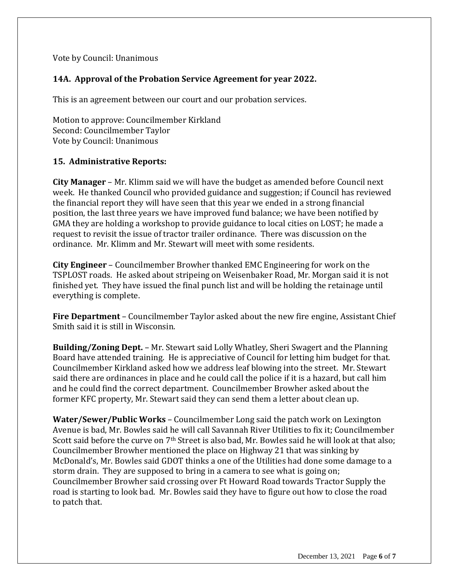## Vote by Council: Unanimous

# **14A. Approval of the Probation Service Agreement for year 2022.**

This is an agreement between our court and our probation services.

Motion to approve: Councilmember Kirkland Second: Councilmember Taylor Vote by Council: Unanimous

## **15. Administrative Reports:**

**City Manager** – Mr. Klimm said we will have the budget as amended before Council next week. He thanked Council who provided guidance and suggestion; if Council has reviewed the financial report they will have seen that this year we ended in a strong financial position, the last three years we have improved fund balance; we have been notified by GMA they are holding a workshop to provide guidance to local cities on LOST; he made a request to revisit the issue of tractor trailer ordinance. There was discussion on the ordinance. Mr. Klimm and Mr. Stewart will meet with some residents.

**City Engineer** – Councilmember Browher thanked EMC Engineering for work on the TSPLOST roads. He asked about stripeing on Weisenbaker Road, Mr. Morgan said it is not finished yet. They have issued the final punch list and will be holding the retainage until everything is complete.

**Fire Department** – Councilmember Taylor asked about the new fire engine, Assistant Chief Smith said it is still in Wisconsin.

**Building/Zoning Dept.** – Mr. Stewart said Lolly Whatley, Sheri Swagert and the Planning Board have attended training. He is appreciative of Council for letting him budget for that. Councilmember Kirkland asked how we address leaf blowing into the street. Mr. Stewart said there are ordinances in place and he could call the police if it is a hazard, but call him and he could find the correct department. Councilmember Browher asked about the former KFC property, Mr. Stewart said they can send them a letter about clean up.

**Water/Sewer/Public Works** – Councilmember Long said the patch work on Lexington Avenue is bad, Mr. Bowles said he will call Savannah River Utilities to fix it; Councilmember Scott said before the curve on 7<sup>th</sup> Street is also bad, Mr. Bowles said he will look at that also; Councilmember Browher mentioned the place on Highway 21 that was sinking by McDonald's, Mr. Bowles said GDOT thinks a one of the Utilities had done some damage to a storm drain. They are supposed to bring in a camera to see what is going on; Councilmember Browher said crossing over Ft Howard Road towards Tractor Supply the road is starting to look bad. Mr. Bowles said they have to figure out how to close the road to patch that.